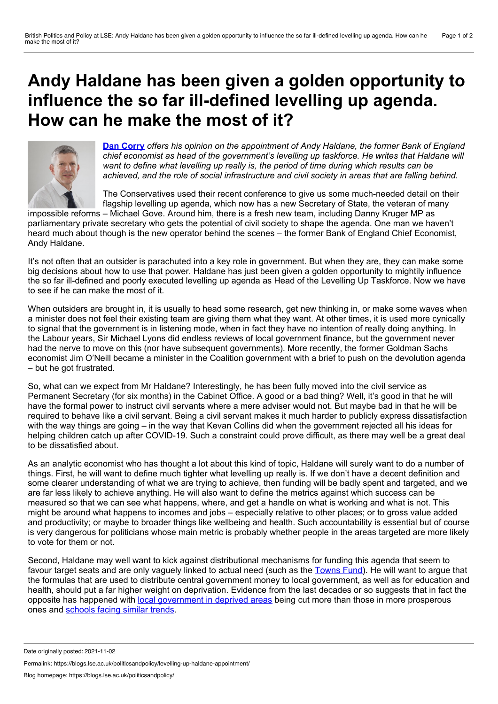## <span id="page-0-0"></span>**Andy Haldane has been given a golden opportunity to influence the so far ill-defined levelling up agenda. How can he make the most of it?**



**Dan [Corry](#page-0-0)** *offers his opinion on the appointment of Andy Haldane, the former Bank of England chief economist as head of the government's levelling up taskforce. He writes that Haldane will want to define what levelling up really is, the period of time during which results can be achieved, and the role of social infrastructure and civil society in areas that are falling behind.*

The Conservatives used their recent conference to give us some much-needed detail on their flagship levelling up agenda, which now has a new Secretary of State, the veteran of many

impossible reforms – Michael Gove. Around him, there is a fresh new team, including Danny Kruger MP as parliamentary private secretary who gets the potential of civil society to shape the agenda. One man we haven't heard much about though is the new operator behind the scenes – the former Bank of England Chief Economist, Andy Haldane.

It's not often that an outsider is parachuted into a key role in government. But when they are, they can make some big decisions about how to use that power. Haldane has just been given a golden opportunity to mightily influence the so far ill-defined and poorly executed levelling up agenda as Head of the Levelling Up Taskforce. Now we have to see if he can make the most of it.

When outsiders are brought in, it is usually to head some research, get new thinking in, or make some waves when a minister does not feel their existing team are giving them what they want. At other times, it is used more cynically to signal that the government is in listening mode, when in fact they have no intention of really doing anything. In the Labour years, Sir Michael Lyons did endless reviews of local government finance, but the government never had the nerve to move on this (nor have subsequent governments). More recently, the former Goldman Sachs economist Jim O'Neill became a minister in the Coalition government with a brief to push on the devolution agenda – but he got frustrated.

So, what can we expect from Mr Haldane? Interestingly, he has been fully moved into the civil service as Permanent Secretary (for six months) in the Cabinet Office. A good or a bad thing? Well, it's good in that he will have the formal power to instruct civil servants where a mere adviser would not. But maybe bad in that he will be required to behave like a civil servant. Being a civil servant makes it much harder to publicly express dissatisfaction with the way things are going – in the way that Kevan Collins did when the government rejected all his ideas for helping children catch up after COVID-19. Such a constraint could prove difficult, as there may well be a great deal to be dissatisfied about.

As an analytic economist who has thought a lot about this kind of topic, Haldane will surely want to do a number of things. First, he will want to define much tighter what levelling up really is. If we don't have a decent definition and some clearer understanding of what we are trying to achieve, then funding will be badly spent and targeted, and we are far less likely to achieve anything. He will also want to define the metrics against which success can be measured so that we can see what happens, where, and get a handle on what is working and what is not. This might be around what happens to incomes and jobs – especially relative to other places; or to gross value added and productivity; or maybe to broader things like wellbeing and health. Such accountability is essential but of course is very dangerous for politicians whose main metric is probably whether people in the areas targeted are more likely to vote for them or not.

Second, Haldane may well want to kick against distributional mechanisms for funding this agenda that seem to favour target seats and are only vaguely linked to actual need (such as the [Towns](https://blogs.lse.ac.uk/politicsandpolicy/the-pork-barrel-politics-of-the-towns-fund/) Fund). He will want to argue that the formulas that are used to distribute central government money to local government, as well as for education and health, should put a far higher weight on deprivation. Evidence from the last decades or so suggests that in fact the opposite has happened with local [government](https://ifs.org.uk/publications/14133) in deprived areas being cut more than those in more prosperous ones and [schools](https://www.theguardian.com/education/2021/oct/22/deprived-schools-in-england-getting-less-money-after-funding-overhaul-report) facing similar trends.

Permalink: https://blogs.lse.ac.uk/politicsandpolicy/levelling-up-haldane-appointment/

Date originally posted: 2021-11-02